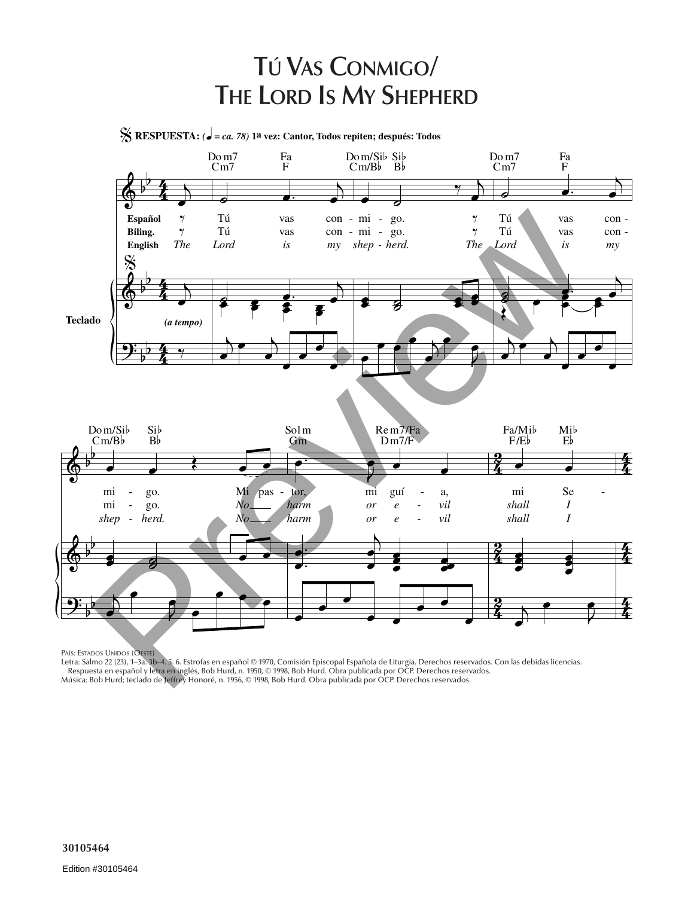## **TÚ VAS CONMIGO/ THE LORD IS MY SHEPHERD**

% **RESPUESTA:** *(*<sup>q</sup> *= ca. 78)* **1a vez: Cantor, Todos repiten; después: Todos**



PAÍS: ESTADOS UNIDOS (OESTE)

Letra: Salmo 22 (23), 1–3a. 3b–4. 5. 6. Estrofas en español © 1970, Comisión Episcopal Española de Liturgia. Derechos reservados. Con las debidas licencias. Respuesta en español y letra en inglés, Bob Hurd, n. 1950, © 1998, Bob Hurd. Obra publicada por OCP. Derechos reservados. Música: Bob Hurd; teclado de Jeffrey Honoré, n. 1956, © 1998, Bob Hurd. Obra publicada por OCP. Derechos reservados.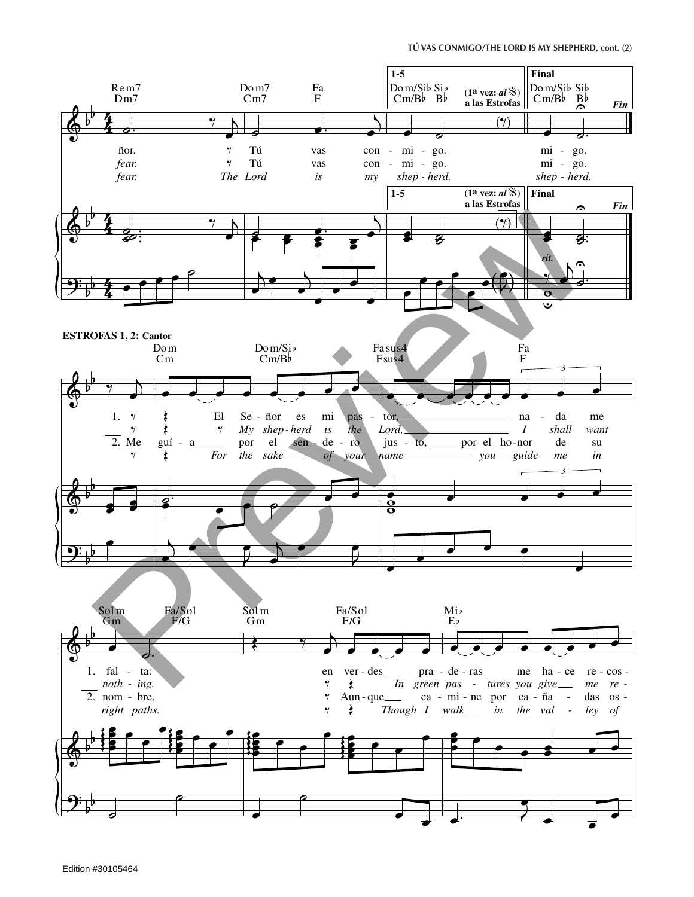## TÚ VAS CONMIGO/THE LORD IS MY SHEPHERD, cont. (2)

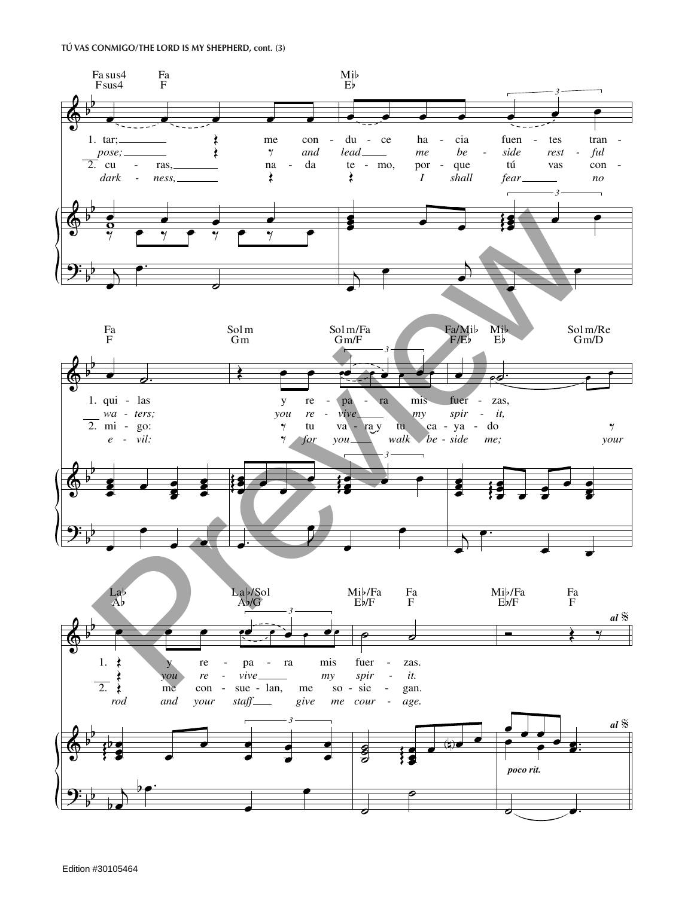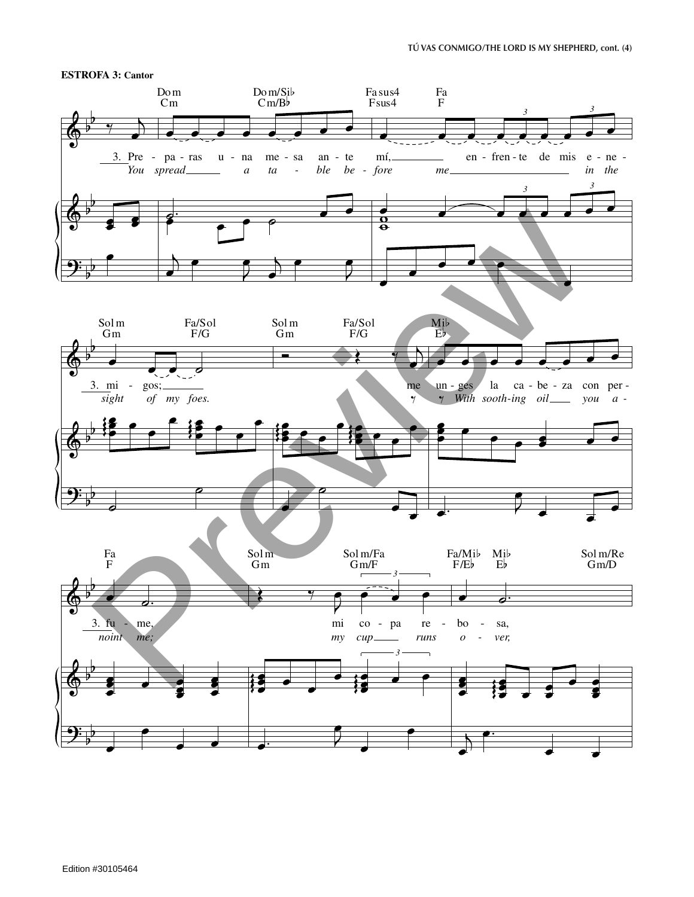

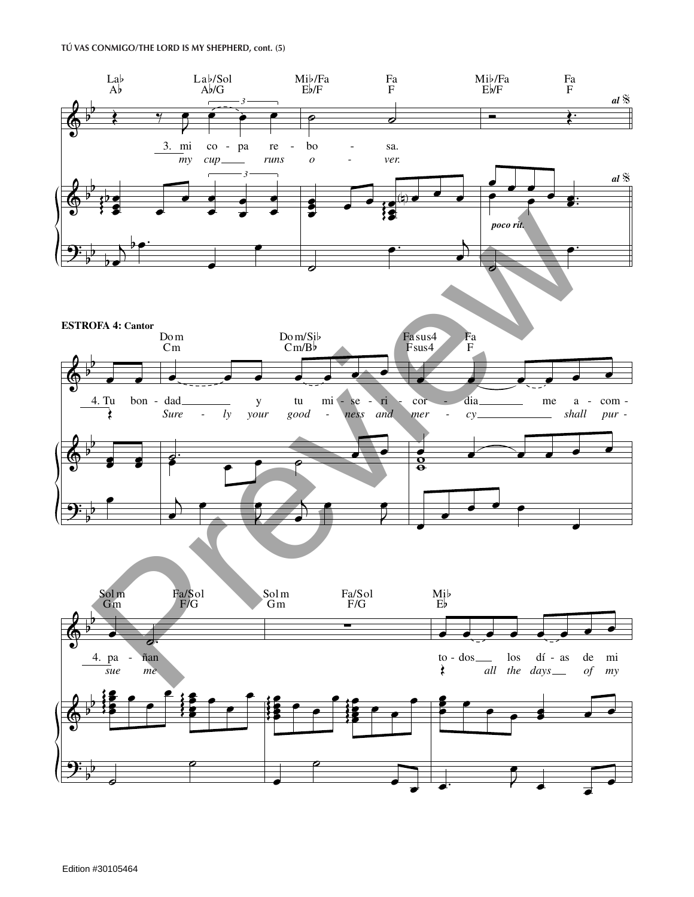